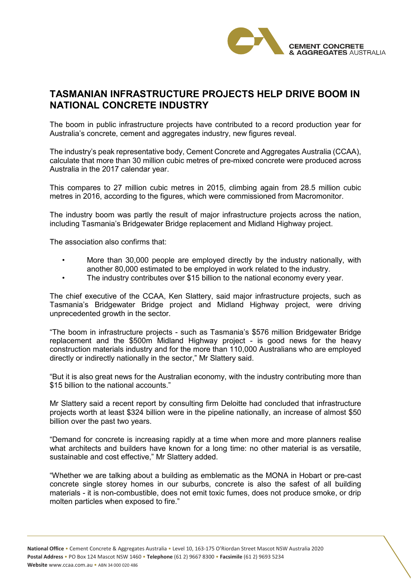

## **TASMANIAN INFRASTRUCTURE PROJECTS HELP DRIVE BOOM IN NATIONAL CONCRETE INDUSTRY**

The boom in public infrastructure projects have contributed to a record production year for Australia's concrete, cement and aggregates industry, new figures reveal.

The industry's peak representative body, Cement Concrete and Aggregates Australia (CCAA), calculate that more than 30 million cubic metres of pre-mixed concrete were produced across Australia in the 2017 calendar year.

This compares to 27 million cubic metres in 2015, climbing again from 28.5 million cubic metres in 2016, according to the figures, which were commissioned from Macromonitor.

The industry boom was partly the result of major infrastructure projects across the nation, including Tasmania's Bridgewater Bridge replacement and Midland Highway project.

The association also confirms that:

- More than 30,000 people are employed directly by the industry nationally, with another 80,000 estimated to be employed in work related to the industry.
- The industry contributes over \$15 billion to the national economy every year.

The chief executive of the CCAA, Ken Slattery, said major infrastructure projects, such as Tasmania's Bridgewater Bridge project and Midland Highway project, were driving unprecedented growth in the sector.

"The boom in infrastructure projects - such as Tasmania's \$576 million Bridgewater Bridge replacement and the \$500m Midland Highway project - is good news for the heavy construction materials industry and for the more than 110,000 Australians who are employed directly or indirectly nationally in the sector," Mr Slattery said.

"But it is also great news for the Australian economy, with the industry contributing more than \$15 billion to the national accounts."

Mr Slattery said a recent report by consulting firm Deloitte had concluded that infrastructure projects worth at least \$324 billion were in the pipeline nationally, an increase of almost \$50 billion over the past two years.

"Demand for concrete is increasing rapidly at a time when more and more planners realise what architects and builders have known for a long time: no other material is as versatile, sustainable and cost effective," Mr Slattery added.

"Whether we are talking about a building as emblematic as the MONA in Hobart or pre-cast concrete single storey homes in our suburbs, concrete is also the safest of all building materials - it is non-combustible, does not emit toxic fumes, does not produce smoke, or drip molten particles when exposed to fire."